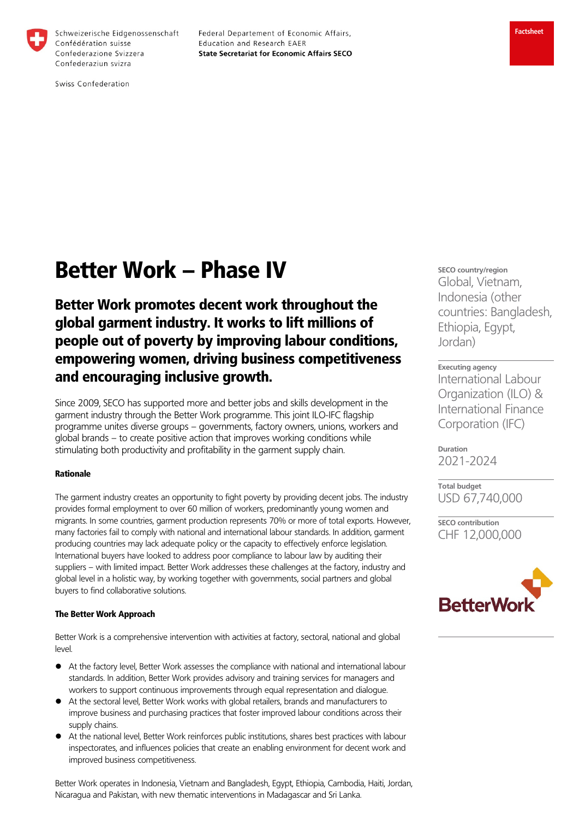

Schweizerische Eidgenossenschaft Confédération suisse Confederazione Svizzera Confederaziun svizra

Federal Departement of Economic Affairs, Education and Research EAER **State Secretariat for Economic Affairs SECO** 

Swiss Confederation

# Better Work – Phase IV

Better Work promotes decent work throughout the global garment industry. It works to lift millions of people out of poverty by improving labour conditions, empowering women, driving business competitiveness and encouraging inclusive growth.

Since 2009, SECO has supported more and better jobs and skills development in the garment industry through the Better Work programme. This joint ILO-IFC flagship programme unites diverse groups – governments, factory owners, unions, workers and global brands – to create positive action that improves working conditions while stimulating both productivity and profitability in the garment supply chain.

#### Rationale

The garment industry creates an opportunity to fight poverty by providing decent jobs. The industry provides formal employment to over 60 million of workers, predominantly young women and migrants. In some countries, garment production represents 70% or more of total exports. However, many factories fail to comply with national and international labour standards. In addition, garment producing countries may lack adequate policy or the capacity to effectively enforce legislation. International buyers have looked to address poor compliance to labour law by auditing their suppliers – with limited impact. Better Work addresses these challenges at the factory, industry and global level in a holistic way, by working together with governments, social partners and global buyers to find collaborative solutions.

## The Better Work Approach

Better Work is a comprehensive intervention with activities at factory, sectoral, national and global level.

- At the factory level, Better Work assesses the compliance with national and international labour standards. In addition, Better Work provides advisory and training services for managers and workers to support continuous improvements through equal representation and dialogue.
- At the sectoral level, Better Work works with global retailers, brands and manufacturers to improve business and purchasing practices that foster improved labour conditions across their supply chains.
- At the national level, Better Work reinforces public institutions, shares best practices with labour inspectorates, and influences policies that create an enabling environment for decent work and improved business competitiveness.

Better Work operates in Indonesia, Vietnam and Bangladesh, Egypt, Ethiopia, Cambodia, Haiti, Jordan, Nicaragua and Pakistan, with new thematic interventions in Madagascar and Sri Lanka.

**SECO country/region**  Global, Vietnam, Indonesia (other countries: Bangladesh, Ethiopia, Egypt, Jordan)

## **Executing agency**

International Labour Organization (ILO) & International Finance Corporation (IFC)

**Duration**  2021-2024

**Total budget**  USD 67,740,000

**SECO contribution**  CHF 12,000,000